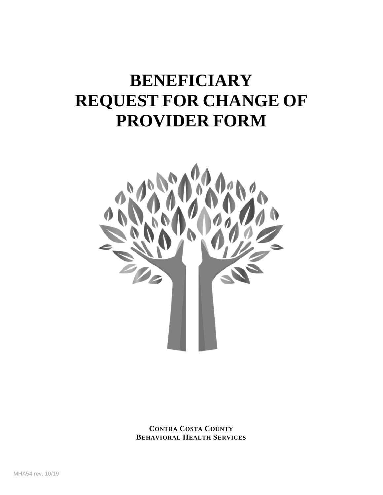# **BENEFICIARY REQUEST FOR CHANGE OF PROVIDER FORM**



**CONTRA COSTA COUNTY BEHAVIORAL HEALTH SERVICES**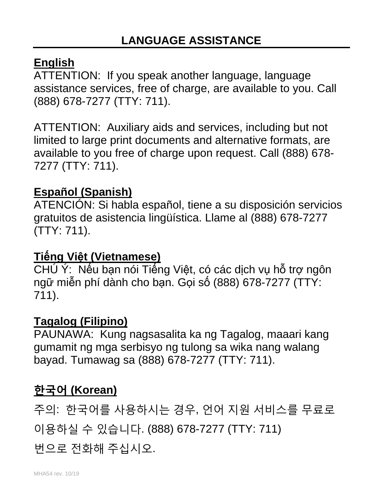## **English**

ATTENTION: If you speak another language, language assistance services, free of charge, are available to you. Call (888) 678-7277 (TTY: 711).

ATTENTION: Auxiliary aids and services, including but not limited to large print documents and alternative formats, are available to you free of charge upon request. Call (888) 678- 7277 (TTY: 711).

## **Español (Spanish)**

ATENCIÓN: Si habla español, tiene a su disposición servicios gratuitos de asistencia lingüística. Llame al (888) 678-7277 (TTY: 711).

## **Tiếng Việt (Vietnamese)**

CHÚ Ý: Nếu bạn nói Tiếng Việt, có các dịch vụ hỗ trợ ngôn ngữ miễn phí dành cho bạn. Gọi số (888) 678-7277 (TTY: 711).

## **Tagalog (Filipino)**

PAUNAWA: Kung nagsasalita ka ng Tagalog, maaari kang gumamit ng mga serbisyo ng tulong sa wika nang walang bayad. Tumawag sa (888) 678-7277 (TTY: 711).

## **한국어 (Korean)**

주의: 한국어를 사용하시는 경우, 언어 지원 서비스를 무료로 이용하실 수 있습니다. (888) 678-7277 (TTY: 711)

번으로 전화해 주십시오.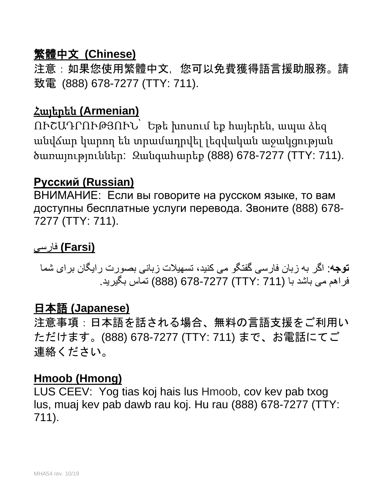## 繁體中文 **(Chinese)**

注意:如果您使用繁體中文,您可以免費獲得語言援助服務。請 致電 (888) 678-7277 (TTY: 711).

## Հայերեն **(Armenian)**

ՈՒՇԱԴՐՈՒԹՅՈՒՆ՝ Եթե խոսում եք հայերեն, ապա ձեզ անվճար կարող են տրամադրվել լեզվական աջակցության ծառայություններ: Զանգահարեք (888) 678-7277 (TTY: 711).

### **Русский (Russian)**

ВНИМАНИЕ: Если вы говорите на русском языке, то вам доступны бесплатные услуги перевода. Звоните (888) 678- 7277 (TTY: 711).

### **(Farsi (**فارسی

**توجھ**: اگر بھ زبان فارسی گفتگو می کنید، تسھیلات زبانی بصورت رایگان برای شما فراھم می باشد با (711 :TTY (678-7277) 888 (تماس بگیرید.

## 日本語 **(Japanese)**

注意事項:日本語を話される場合、無料の言語支援をご利用い ただけます。(888) 678-7277 (TTY: 711) まで、お電話にてご 連絡ください。

#### **Hmoob (Hmong)**

LUS CEEV: Yog tias koj hais lus Hmoob, cov kev pab txog lus, muaj kev pab dawb rau koj. Hu rau (888) 678-7277 (TTY: 711).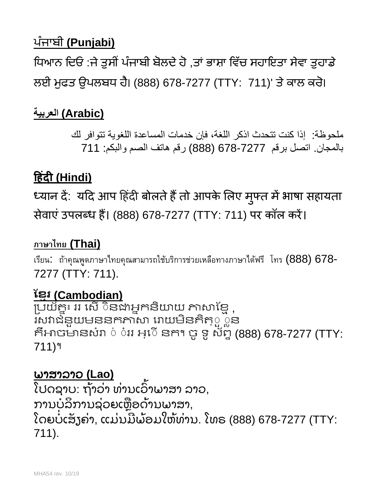## ਪੰ ਜਾਬੀ **(Punjabi)**

ਧਿਆਨ ਦਿਓ :ਜੇ ਤੁਸੀਂ ਪੰਜਾਬੀ ਬੋਲਦੇ ਹੋ ,ਤਾਂ ਭਾਸ਼ਾ ਵਿੱਚ ਸਹਾਇਤਾ ਸੇਵਾ ਤੁਹਾਡੇ ਲਈ ਮੁਫਤ ਉਪਲਬਧ ਹੈ। (888) 678-7277 (TTY: 711)' ਤੇ ਕਾਲ ਕਰੋ।

## **(Arabic (العربیة**

ملحوظة: إذا كنت تتحدث اذكر اللغة، فإن خدمات المساعدة اللغویة تتوافر لك بالمجان. اتصل برقم 678-7277 (888) رقم ھاتف الصم والبكم: 711

## **�हंद� (Hindi)**

ध्यान दे: यदि आप हिंदी बोलते हैं तो आपके लिए मुफ्त में भाषा सहायता सेवाएं उपलब्ध हैं। (888) 678-7277 (TTY: 711) पर कॉल करें।

## **ภาษาไทย (Thai)**

เรียน: ถ้าคุณพูดภาษาไทยคุณสามารถใช้บริการช่วยเหลือทางภาษาได้ฟรี โทร (888) 678- 7277 (TTY: 711).

## <u>ខ្មែរ (Cambodian)</u>

្របយ័គ្នះ ររ សើ ៑នងាអ្នកនិយាយ ភាសាខ្មែ ុ រសវាជំនួយមននកភាសា រោយមីនគិតុួួួន គិអាចមានសំរា ់ ់ររ អ្េ៑េ នក។ ចូ ទូ ស័ព្ទ (888) 678-7277 (TTY: 711)។

## ພາສາລາວ **(Lao)**

ໄປດຊາບ: ຖ້າວ່າ ທ່ານເວົາພາສາ ລາວ, ່ ່ ້ ການບໍລິການຊ່ວຍເຫຼືອດ້ານພາສາ, ໂດຍບໍ່ເສັ້ງຄ່າ, ແມ່ນມີພ້ອມໃຫ້ທ່ານ. ໂທຣ (888) 678-7277 (TTY: ັ ່ ່ ີ ່ 711).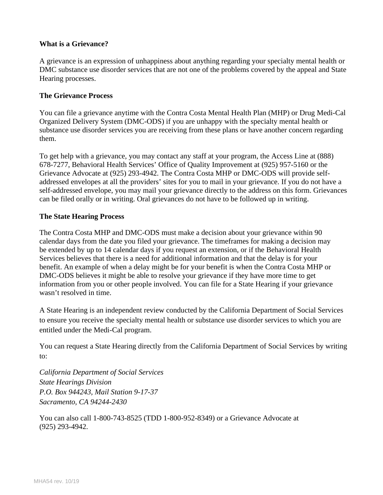#### **What is a Grievance?**

A grievance is an expression of unhappiness about anything regarding your specialty mental health or DMC substance use disorder services that are not one of the problems covered by the appeal and State Hearing processes.

#### **The Grievance Process**

You can file a grievance anytime with the Contra Costa Mental Health Plan (MHP) or Drug Medi-Cal Organized Delivery System (DMC-ODS) if you are unhappy with the specialty mental health or substance use disorder services you are receiving from these plans or have another concern regarding them.

To get help with a grievance, you may contact any staff at your program, the Access Line at (888) 678-7277, Behavioral Health Services' Office of Quality Improvement at (925) 957-5160 or the Grievance Advocate at (925) 293-4942. The Contra Costa MHP or DMC-ODS will provide selfaddressed envelopes at all the providers' sites for you to mail in your grievance. If you do not have a self-addressed envelope, you may mail your grievance directly to the address on this form. Grievances can be filed orally or in writing. Oral grievances do not have to be followed up in writing.

#### **The State Hearing Process**

The Contra Costa MHP and DMC-ODS must make a decision about your grievance within 90 calendar days from the date you filed your grievance. The timeframes for making a decision may be extended by up to 14 calendar days if you request an extension, or if the Behavioral Health Services believes that there is a need for additional information and that the delay is for your benefit. An example of when a delay might be for your benefit is when the Contra Costa MHP or DMC-ODS believes it might be able to resolve your grievance if they have more time to get information from you or other people involved. You can file for a State Hearing if your grievance wasn't resolved in time.

A State Hearing is an independent review conducted by the California Department of Social Services to ensure you receive the specialty mental health or substance use disorder services to which you are entitled under the Medi-Cal program.

You can request a State Hearing directly from the California Department of Social Services by writing to:

*California Department of Social Services State Hearings Division P.O. Box 944243, Mail Station 9-17-37 Sacramento, CA 94244-2430*

You can also call 1-800-743-8525 (TDD 1-800-952-8349) or a Grievance Advocate at (925) 293-4942.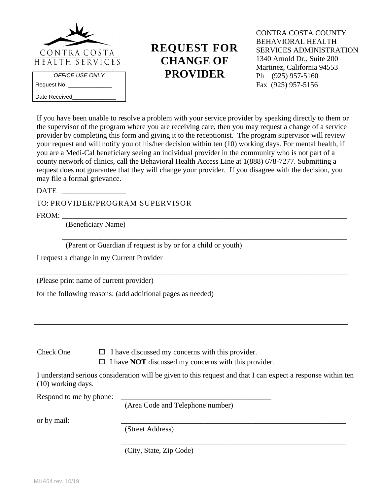

**REQUEST FOR CHANGE OF PROVIDER**

CONTRA COSTA COUNTY BEHAVIORAL HEALTH SERVICES ADMINISTRATION 1340 Arnold Dr., Suite 200 Martinez, California 94553 Ph (925) 957-5160 Fax (925) 957-5156

If you have been unable to resolve a problem with your service provider by speaking directly to them or the supervisor of the program where you are receiving care, then you may request a change of a service provider by completing this form and giving it to the receptionist. The program supervisor will review your request and will notify you of his/her decision within ten (10) working days. For mental health, if you are a Medi-Cal beneficiary seeing an individual provider in the community who is not part of a county network of clinics, call the Behavioral Health Access Line at 1(888) 678-7277. Submitting a request does not guarantee that they will change your provider. If you disagree with the decision, you may file a formal grievance.

DATE

Date Received\_

TO: PROVIDER/PROGRAM SUPERVISOR

FROM: \_\_\_\_\_\_\_\_\_\_\_\_\_\_\_\_\_\_\_\_\_\_\_\_\_\_\_\_\_\_\_\_\_\_\_\_\_\_\_\_\_\_\_\_\_\_\_\_\_\_\_\_\_\_\_\_\_\_\_\_\_\_\_\_\_\_\_\_\_\_\_\_\_\_\_\_

(Beneficiary Name)

 **\_\_\_\_\_\_\_\_\_\_\_\_\_\_\_\_\_\_\_\_\_\_\_\_\_\_\_\_\_\_\_\_\_\_\_\_\_\_\_\_\_\_\_\_\_\_\_\_\_\_\_\_\_\_\_\_\_\_\_\_\_\_\_\_\_\_\_\_\_\_\_\_\_\_\_\_** (Parent or Guardian if request is by or for a child or youth)

I request a change in my Current Provider

(Please print name of current provider)

for the following reasons: (add additional pages as needed)

Check One  $\Box$  I have discussed my concerns with this provider.

 $\Box$  I have **NOT** discussed my concerns with this provider.

\_\_\_\_\_\_\_\_\_\_\_\_\_\_\_\_\_\_\_\_\_\_\_\_\_\_\_\_\_\_\_\_\_\_\_\_\_\_\_\_\_\_\_\_\_\_\_\_\_\_\_\_\_\_\_\_\_\_\_\_\_\_\_\_\_\_\_\_\_\_\_\_\_\_\_\_\_\_\_\_\_\_\_

I understand serious consideration will be given to this request and that I can expect a response within ten (10) working days.

\_\_\_\_\_\_\_\_\_\_\_\_\_\_\_\_\_\_\_\_\_\_\_\_\_\_\_\_\_\_\_\_\_\_\_\_\_\_\_\_\_\_\_\_\_\_\_\_\_\_\_\_\_\_\_\_\_\_\_\_

Respond to me by phone:

(Area Code and Telephone number)

or by mail: \_\_\_\_\_\_\_\_\_\_\_\_\_\_\_\_\_\_\_\_\_\_\_\_\_\_\_\_\_\_\_\_\_\_\_\_\_\_\_\_\_\_\_\_\_\_\_\_\_\_\_\_\_\_\_\_\_\_\_\_

(Street Address)

(City, State, Zip Code)